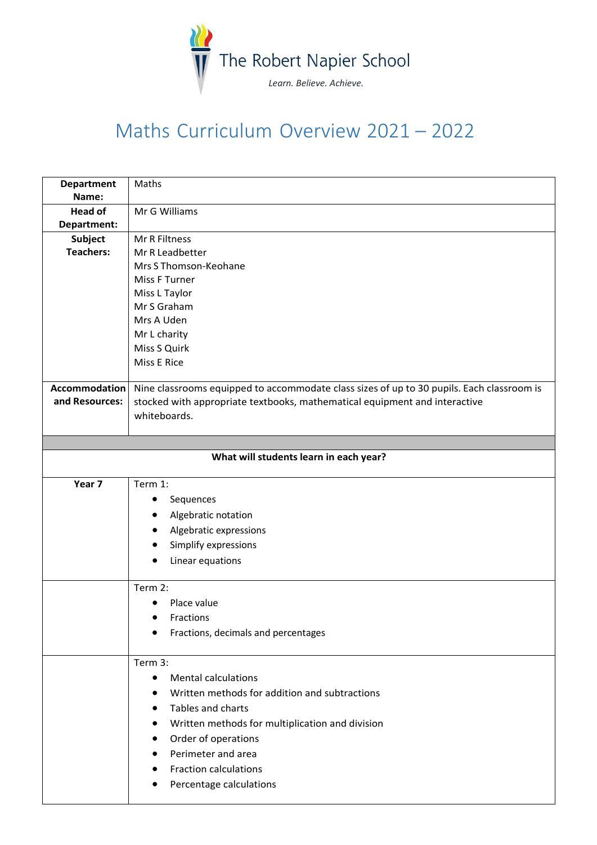

## Maths Curriculum Overview 2021 – 2022

| Name:<br><b>Head of</b><br>Mr G Williams<br>Department:<br>Subject<br><b>Mr R Filtness</b><br><b>Teachers:</b><br>Mr R Leadbetter<br>Mrs S Thomson-Keohane<br>Miss F Turner<br>Miss L Taylor<br>Mr S Graham<br>Mrs A Uden<br>Mr L charity<br>Miss S Quirk<br>Miss E Rice |
|--------------------------------------------------------------------------------------------------------------------------------------------------------------------------------------------------------------------------------------------------------------------------|
|                                                                                                                                                                                                                                                                          |
|                                                                                                                                                                                                                                                                          |
|                                                                                                                                                                                                                                                                          |
|                                                                                                                                                                                                                                                                          |
|                                                                                                                                                                                                                                                                          |
|                                                                                                                                                                                                                                                                          |
|                                                                                                                                                                                                                                                                          |
|                                                                                                                                                                                                                                                                          |
|                                                                                                                                                                                                                                                                          |
|                                                                                                                                                                                                                                                                          |
|                                                                                                                                                                                                                                                                          |
|                                                                                                                                                                                                                                                                          |
|                                                                                                                                                                                                                                                                          |
| <b>Accommodation</b><br>Nine classrooms equipped to accommodate class sizes of up to 30 pupils. Each classroom is                                                                                                                                                        |
| and Resources:<br>stocked with appropriate textbooks, mathematical equipment and interactive                                                                                                                                                                             |
| whiteboards.                                                                                                                                                                                                                                                             |
|                                                                                                                                                                                                                                                                          |
|                                                                                                                                                                                                                                                                          |
| What will students learn in each year?                                                                                                                                                                                                                                   |
| Year 7<br>Term 1:                                                                                                                                                                                                                                                        |
| Sequences<br>٠                                                                                                                                                                                                                                                           |
| Algebratic notation                                                                                                                                                                                                                                                      |
| Algebratic expressions                                                                                                                                                                                                                                                   |
| Simplify expressions                                                                                                                                                                                                                                                     |
|                                                                                                                                                                                                                                                                          |
| Linear equations                                                                                                                                                                                                                                                         |
| Term 2:                                                                                                                                                                                                                                                                  |
| Place value                                                                                                                                                                                                                                                              |
| Fractions                                                                                                                                                                                                                                                                |
| Fractions, decimals and percentages<br>$\bullet$                                                                                                                                                                                                                         |
| Term 3:                                                                                                                                                                                                                                                                  |
| <b>Mental calculations</b><br>$\bullet$                                                                                                                                                                                                                                  |
| Written methods for addition and subtractions                                                                                                                                                                                                                            |
| Tables and charts                                                                                                                                                                                                                                                        |
|                                                                                                                                                                                                                                                                          |
| Written methods for multiplication and division                                                                                                                                                                                                                          |
| Order of operations                                                                                                                                                                                                                                                      |
|                                                                                                                                                                                                                                                                          |
| Perimeter and area                                                                                                                                                                                                                                                       |
| <b>Fraction calculations</b><br>Percentage calculations                                                                                                                                                                                                                  |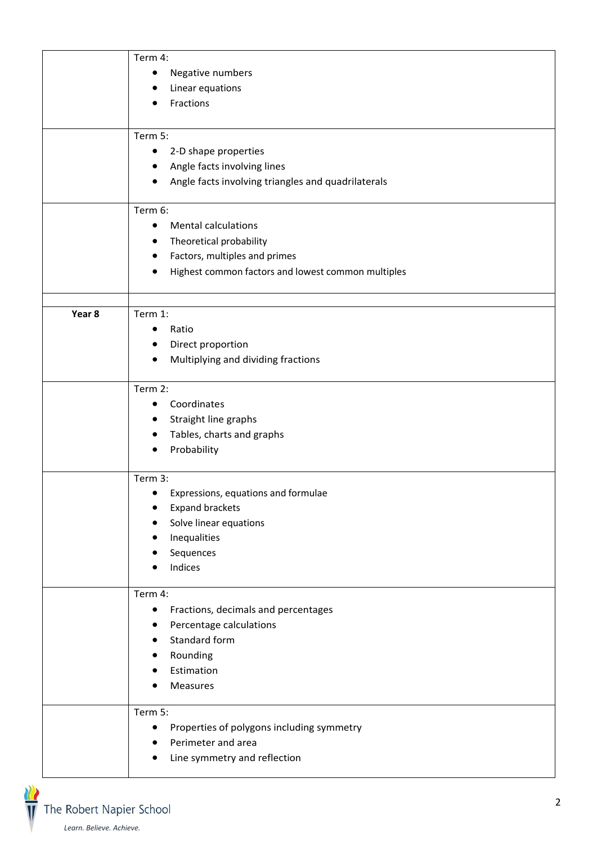|        | Term 4:                                                 |
|--------|---------------------------------------------------------|
|        | Negative numbers<br>$\bullet$                           |
|        | Linear equations<br>٠                                   |
|        | Fractions                                               |
|        |                                                         |
|        | Term 5:                                                 |
|        | 2-D shape properties<br>$\bullet$                       |
|        | Angle facts involving lines<br>$\bullet$                |
|        | Angle facts involving triangles and quadrilaterals<br>٠ |
|        |                                                         |
|        | Term 6:                                                 |
|        | <b>Mental calculations</b><br>$\bullet$                 |
|        | Theoretical probability<br>٠                            |
|        | Factors, multiples and primes<br>٠                      |
|        | Highest common factors and lowest common multiples      |
|        |                                                         |
|        |                                                         |
| Year 8 | Term 1:                                                 |
|        | Ratio<br>$\bullet$                                      |
|        | Direct proportion                                       |
|        | Multiplying and dividing fractions<br>$\bullet$         |
|        | Term 2:                                                 |
|        | Coordinates<br>٠                                        |
|        | Straight line graphs<br>٠                               |
|        | Tables, charts and graphs<br>$\bullet$                  |
|        | Probability<br>$\bullet$                                |
|        |                                                         |
|        | Term 3:                                                 |
|        | Expressions, equations and formulae<br>$\bullet$        |
|        | <b>Expand brackets</b>                                  |
|        | Solve linear equations                                  |
|        | Inequalities                                            |
|        | Sequences                                               |
|        | Indices                                                 |
|        | Term 4:                                                 |
|        | Fractions, decimals and percentages<br>$\bullet$        |
|        | Percentage calculations                                 |
|        | Standard form                                           |
|        | Rounding                                                |
|        | Estimation                                              |
|        | Measures                                                |
|        |                                                         |
|        | Term 5:                                                 |
|        | Properties of polygons including symmetry<br>$\bullet$  |
|        | Perimeter and area                                      |
|        | Line symmetry and reflection                            |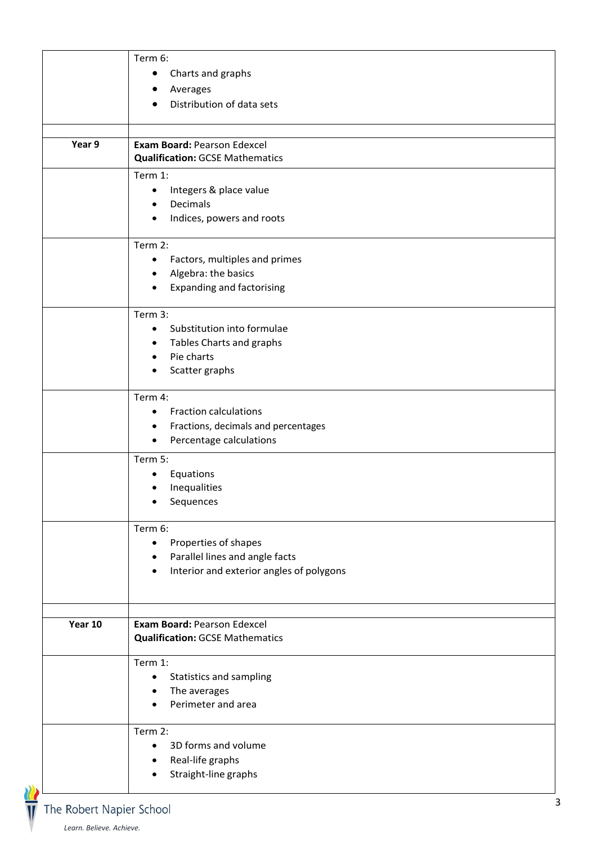|         | Term 6:                                               |
|---------|-------------------------------------------------------|
|         | Charts and graphs<br>$\bullet$                        |
|         | Averages                                              |
|         | Distribution of data sets                             |
| Year 9  | Exam Board: Pearson Edexcel                           |
|         | <b>Qualification: GCSE Mathematics</b>                |
|         | Term 1:                                               |
|         | Integers & place value<br>$\bullet$                   |
|         | Decimals<br>$\bullet$                                 |
|         | Indices, powers and roots<br>٠                        |
|         | Term 2:                                               |
|         | Factors, multiples and primes<br>$\bullet$            |
|         | Algebra: the basics                                   |
|         | <b>Expanding and factorising</b>                      |
|         | Term 3:                                               |
|         | Substitution into formulae<br>$\bullet$               |
|         | Tables Charts and graphs<br>$\bullet$                 |
|         | Pie charts                                            |
|         | Scatter graphs                                        |
|         | Term 4:                                               |
|         | <b>Fraction calculations</b><br>$\bullet$             |
|         | Fractions, decimals and percentages<br>٠              |
|         | Percentage calculations<br>$\bullet$                  |
|         | Term 5:                                               |
|         | Equations<br>٠                                        |
|         | Inequalities                                          |
|         | Sequences<br>٠                                        |
|         | Term 6:                                               |
|         | Properties of shapes<br>$\bullet$                     |
|         | Parallel lines and angle facts                        |
|         | Interior and exterior angles of polygons<br>$\bullet$ |
|         | Exam Board: Pearson Edexcel                           |
| Year 10 | <b>Qualification: GCSE Mathematics</b>                |
|         | Term 1:                                               |
|         | Statistics and sampling<br>$\bullet$                  |
|         | The averages<br>٠                                     |
|         | Perimeter and area                                    |
|         | Term 2:                                               |
|         | 3D forms and volume<br>$\bullet$                      |
|         | Real-life graphs                                      |
|         | Straight-line graphs                                  |
|         |                                                       |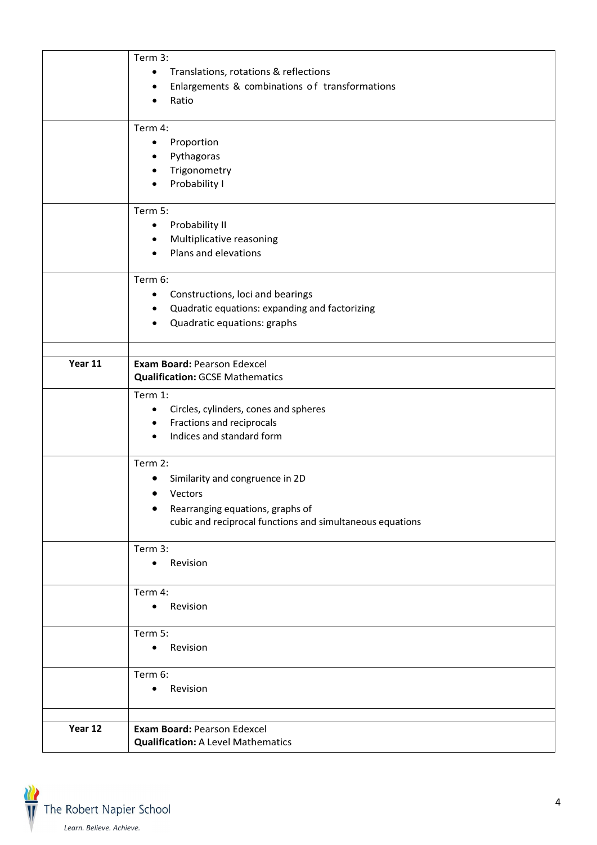|         | Term 3:                                                     |
|---------|-------------------------------------------------------------|
|         |                                                             |
|         | Translations, rotations & reflections<br>$\bullet$          |
|         | Enlargements & combinations of transformations<br>$\bullet$ |
|         | Ratio<br>$\bullet$                                          |
|         |                                                             |
|         | Term 4:                                                     |
|         | Proportion<br>$\bullet$                                     |
|         | Pythagoras<br>$\bullet$                                     |
|         | Trigonometry<br>$\bullet$                                   |
|         | Probability I<br>$\bullet$                                  |
|         | Term 5:                                                     |
|         |                                                             |
|         | Probability II<br>$\bullet$                                 |
|         | Multiplicative reasoning<br>$\bullet$                       |
|         | Plans and elevations<br>$\bullet$                           |
|         | Term 6:                                                     |
|         | Constructions, loci and bearings<br>$\bullet$               |
|         | Quadratic equations: expanding and factorizing<br>$\bullet$ |
|         | Quadratic equations: graphs<br>$\bullet$                    |
|         |                                                             |
|         |                                                             |
| Year 11 | Exam Board: Pearson Edexcel                                 |
|         | <b>Qualification: GCSE Mathematics</b>                      |
|         | Term 1:                                                     |
|         | Circles, cylinders, cones and spheres<br>$\bullet$          |
|         | Fractions and reciprocals<br>$\bullet$                      |
|         | Indices and standard form<br>$\bullet$                      |
|         |                                                             |
|         | Term 2:                                                     |
|         | Similarity and congruence in 2D                             |
|         | Vectors                                                     |
|         | Rearranging equations, graphs of<br>٠                       |
|         | cubic and reciprocal functions and simultaneous equations   |
|         | Term 3:                                                     |
|         | Revision<br>$\bullet$                                       |
|         |                                                             |
|         | Term 4:                                                     |
|         | Revision<br>$\bullet$                                       |
|         |                                                             |
|         | Term 5:                                                     |
|         | Revision<br>$\bullet$                                       |
|         | Term 6:                                                     |
|         | Revision<br>$\bullet$                                       |
|         |                                                             |
|         |                                                             |
| Year 12 | Exam Board: Pearson Edexcel                                 |
|         | <b>Qualification: A Level Mathematics</b>                   |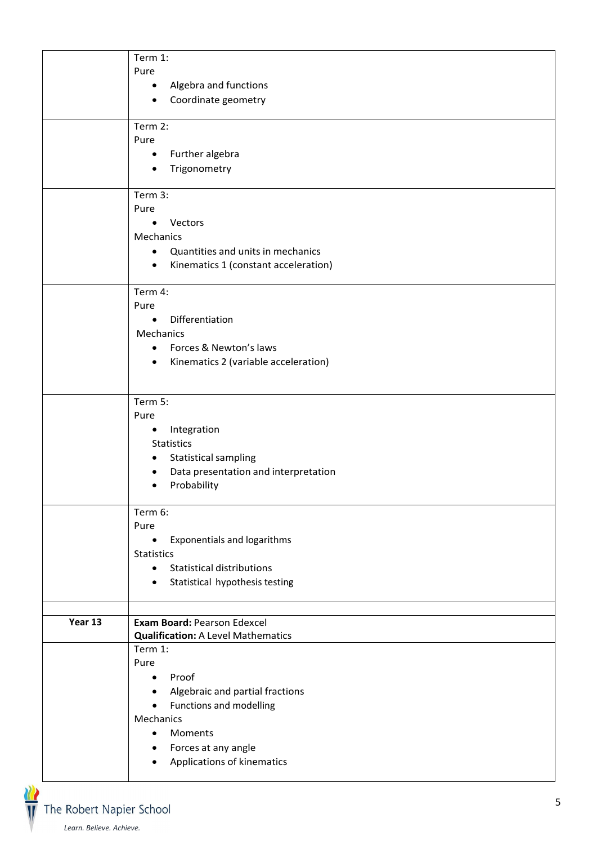|         | Term 1:<br>Pure                                                          |
|---------|--------------------------------------------------------------------------|
|         | Algebra and functions<br>$\bullet$                                       |
|         | Coordinate geometry<br>$\bullet$                                         |
|         | Term 2:                                                                  |
|         | Pure<br>Further algebra<br>$\bullet$                                     |
|         | Trigonometry<br>$\bullet$                                                |
|         |                                                                          |
|         | Term 3:<br>Pure                                                          |
|         | Vectors<br>$\bullet$                                                     |
|         | Mechanics                                                                |
|         | Quantities and units in mechanics<br>$\bullet$                           |
|         | Kinematics 1 (constant acceleration)<br>$\bullet$                        |
|         | Term 4:                                                                  |
|         | Pure<br>Differentiation                                                  |
|         | $\bullet$<br>Mechanics                                                   |
|         | Forces & Newton's laws<br>$\bullet$                                      |
|         | Kinematics 2 (variable acceleration)<br>$\bullet$                        |
|         |                                                                          |
|         | Term 5:                                                                  |
|         | Pure                                                                     |
|         | Integration<br>$\bullet$<br><b>Statistics</b>                            |
|         | <b>Statistical sampling</b><br>٠                                         |
|         | Data presentation and interpretation<br>$\bullet$                        |
|         | Probability<br>$\bullet$                                                 |
|         | Term 6:                                                                  |
|         | Pure<br>Exponentials and logarithms<br>$\bullet$                         |
|         | <b>Statistics</b>                                                        |
|         | <b>Statistical distributions</b><br>$\bullet$                            |
|         | Statistical hypothesis testing<br>$\bullet$                              |
|         |                                                                          |
| Year 13 | Exam Board: Pearson Edexcel<br><b>Qualification: A Level Mathematics</b> |
|         | Term 1:                                                                  |
|         | Pure                                                                     |
|         | Proof<br>$\bullet$                                                       |
|         | Algebraic and partial fractions<br>$\bullet$                             |
|         | Functions and modelling<br>$\bullet$<br>Mechanics                        |
|         | Moments<br>$\bullet$                                                     |
|         | Forces at any angle<br>$\bullet$                                         |
|         | Applications of kinematics<br>$\bullet$                                  |
|         |                                                                          |

.<br>The Robert Napier School